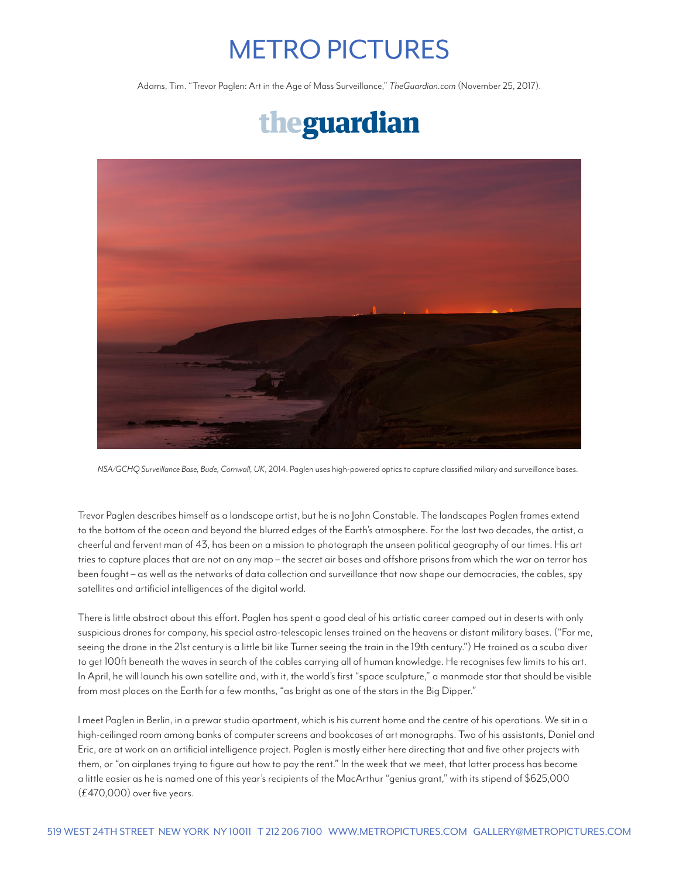## METRO PICTURES

Adams, Tim. "Trevor Paglen: Art in the Age of Mass Surveillance," *TheGuardian.com* (November 25, 2017).

## theguardian



*NSA/GCHQ Surveillance Base, Bude, Cornwall, UK*, 2014. Paglen uses high-powered optics to capture classified miliary and surveillance bases.

Trevor Paglen describes himself as a landscape artist, but he is no John Constable. The landscapes Paglen frames extend to the bottom of the ocean and beyond the blurred edges of the Earth's atmosphere. For the last two decades, the artist, a cheerful and fervent man of 43, has been on a mission to photograph the unseen political geography of our times. His art tries to capture places that are not on any map – the secret air bases and offshore prisons from which the war on terror has been fought – as well as the networks of data collection and surveillance that now shape our democracies, the cables, spy satellites and artificial intelligences of the digital world.

There is little abstract about this effort. Paglen has spent a good deal of his artistic career camped out in deserts with only suspicious drones for company, his special astro-telescopic lenses trained on the heavens or distant military bases. ("For me, seeing the drone in the 21st century is a little bit like Turner seeing the train in the 19th century.") He trained as a scuba diver to get 100ft beneath the waves in search of the cables carrying all of human knowledge. He recognises few limits to his art. In April, he will launch his own satellite and, with it, the world's first "space sculpture," a manmade star that should be visible from most places on the Earth for a few months, "as bright as one of the stars in the Big Dipper."

I meet Paglen in Berlin, in a prewar studio apartment, which is his current home and the centre of his operations. We sit in a high-ceilinged room among banks of computer screens and bookcases of art monographs. Two of his assistants, Daniel and Eric, are at work on an artificial intelligence project. Paglen is mostly either here directing that and five other projects with them, or "on airplanes trying to figure out how to pay the rent." In the week that we meet, that latter process has become a little easier as he is named one of this year's recipients of the MacArthur "genius grant," with its stipend of \$625,000 (£470,000) over five years.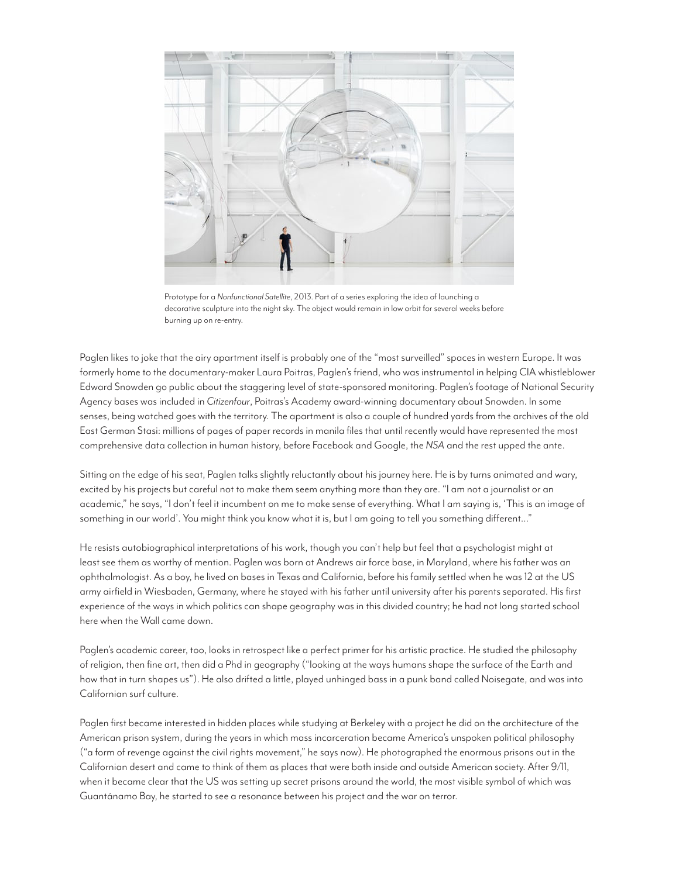

Prototype for a *Nonfunctional Satellite*, 2013. Part of a series exploring the idea of launching a decorative sculpture into the night sky. The object would remain in low orbit for several weeks before burning up on re-entry.

Paglen likes to joke that the airy apartment itself is probably one of the "most surveilled" spaces in western Europe. It was formerly home to the documentary-maker Laura Poitras, Paglen's friend, who was instrumental in helping CIA whistleblower Edward Snowden go public about the staggering level of state-sponsored monitoring. Paglen's footage of National Security Agency bases was included in *Citizenfour*, Poitras's Academy award-winning documentary about Snowden. In some senses, being watched goes with the territory. The apartment is also a couple of hundred yards from the archives of the old East German Stasi: millions of pages of paper records in manila files that until recently would have represented the most comprehensive data collection in human history, before Facebook and Google, the *NSA* and the rest upped the ante.

Sitting on the edge of his seat, Paglen talks slightly reluctantly about his journey here. He is by turns animated and wary, excited by his projects but careful not to make them seem anything more than they are. "I am not a journalist or an academic," he says, "I don't feel it incumbent on me to make sense of everything. What I am saying is, 'This is an image of something in our world'. You might think you know what it is, but I am going to tell you something different…"

He resists autobiographical interpretations of his work, though you can't help but feel that a psychologist might at least see them as worthy of mention. Paglen was born at Andrews air force base, in Maryland, where his father was an ophthalmologist. As a boy, he lived on bases in Texas and California, before his family settled when he was 12 at the US army airfield in Wiesbaden, Germany, where he stayed with his father until university after his parents separated. His first experience of the ways in which politics can shape geography was in this divided country; he had not long started school here when the Wall came down.

Paglen's academic career, too, looks in retrospect like a perfect primer for his artistic practice. He studied the philosophy of religion, then fine art, then did a Phd in geography ("looking at the ways humans shape the surface of the Earth and how that in turn shapes us"). He also drifted a little, played unhinged bass in a punk band called Noisegate, and was into Californian surf culture.

Paglen first became interested in hidden places while studying at Berkeley with a project he did on the architecture of the American prison system, during the years in which mass incarceration became America's unspoken political philosophy ("a form of revenge against the civil rights movement," he says now). He photographed the enormous prisons out in the Californian desert and came to think of them as places that were both inside and outside American society. After 9/11, when it became clear that the US was setting up secret prisons around the world, the most visible symbol of which was Guantánamo Bay, he started to see a resonance between his project and the war on terror.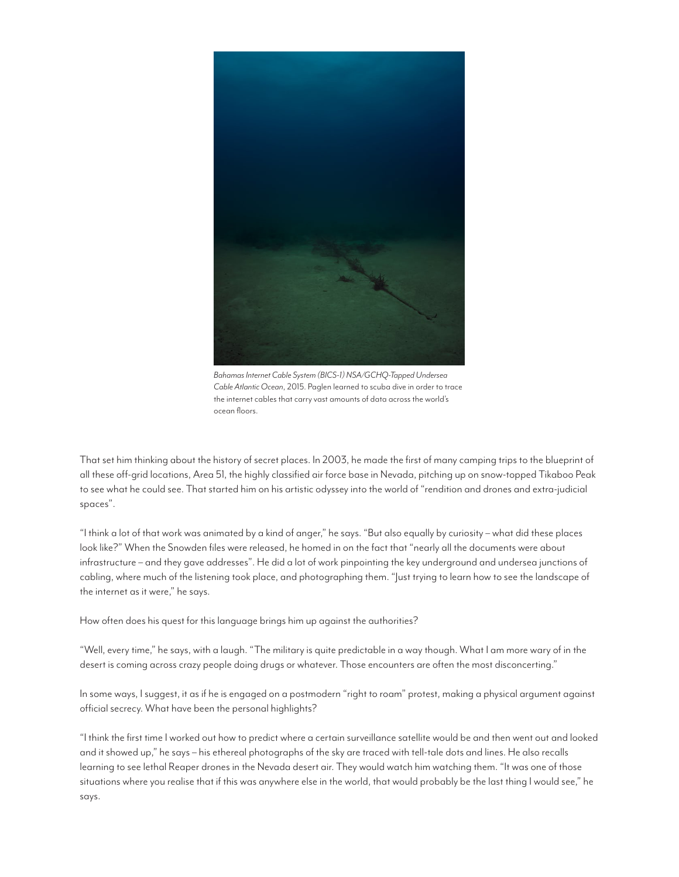

*Bahamas Internet Cable System (BICS-1) NSA/GCHQ-Tapped Undersea Cable Atlantic Ocean*, 2015. Paglen learned to scuba dive in order to trace the internet cables that carry vast amounts of data across the world's ocean floors.

That set him thinking about the history of secret places. In 2003, he made the first of many camping trips to the blueprint of all these off-grid locations, Area 51, the highly classified air force base in Nevada, pitching up on snow-topped Tikaboo Peak to see what he could see. That started him on his artistic odyssey into the world of "rendition and drones and extra-judicial spaces".

"I think a lot of that work was animated by a kind of anger," he says. "But also equally by curiosity – what did these places look like?" When the Snowden files were released, he homed in on the fact that "nearly all the documents were about infrastructure – and they gave addresses". He did a lot of work pinpointing the key underground and undersea junctions of cabling, where much of the listening took place, and photographing them. "Just trying to learn how to see the landscape of the internet as it were," he says.

How often does his quest for this language brings him up against the authorities?

"Well, every time," he says, with a laugh. "The military is quite predictable in a way though. What I am more wary of in the desert is coming across crazy people doing drugs or whatever. Those encounters are often the most disconcerting."

In some ways, I suggest, it as if he is engaged on a postmodern "right to roam" protest, making a physical argument against official secrecy. What have been the personal highlights?

"I think the first time I worked out how to predict where a certain surveillance satellite would be and then went out and looked and it showed up," he says – his ethereal photographs of the sky are traced with tell-tale dots and lines. He also recalls learning to see lethal Reaper drones in the Nevada desert air. They would watch him watching them. "It was one of those situations where you realise that if this was anywhere else in the world, that would probably be the last thing I would see," he says.